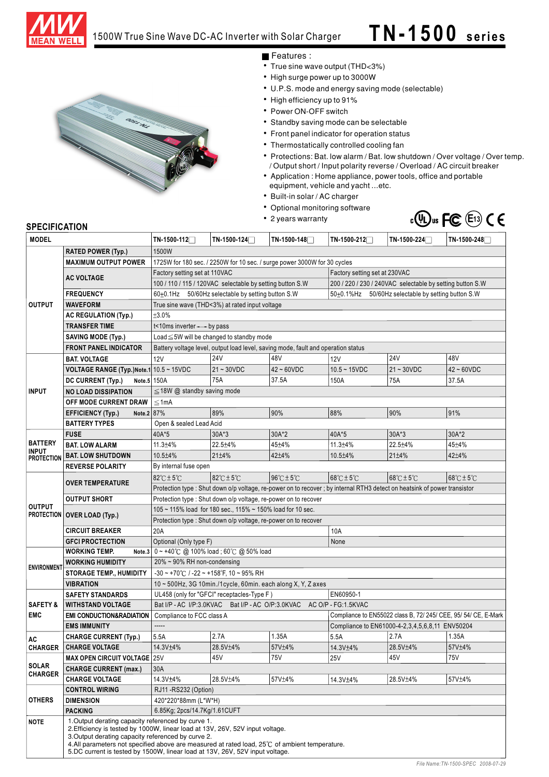

# 1500W True Sine Wave DC-AC Inverter with Solar Charger **T N- 1 5 0 0 s e ri e s**



- Features :
- True sine wave output (THD<3%)
- High surge power up to 3000W
- U.P.S. mode and energy saving mode (selectable)
- High efficiency up to 91%
- Power ON-OFF switch
- Standby saving mode can be selectable
- Front panel indicator for operation status
- Thermostatically controlled cooling fan
- Protections: Bat. low alarm / Bat. low shutdown / Over voltage / Over temp. / Output short / Input polarity reverse / Overload / AC circuit breaker
- Application : Home appliance, power tools, office and portable equipment, vehicle and yacht ...etc.
- Built-in solar / AC charger
- Optional monitoring software
- 2 years warranty



### **SPECIFICATION**

| <b>MODEL</b>                      |                                                                                                                                                                                                                                                                                                                      | TN-1500-112                                                                                                                                                             | $TN-1500-124$                                                                                            | TN-1500-148                  | $TN-1500-212$  | TN-1500-224                                           | TN-1500-248                     |  |  |
|-----------------------------------|----------------------------------------------------------------------------------------------------------------------------------------------------------------------------------------------------------------------------------------------------------------------------------------------------------------------|-------------------------------------------------------------------------------------------------------------------------------------------------------------------------|----------------------------------------------------------------------------------------------------------|------------------------------|----------------|-------------------------------------------------------|---------------------------------|--|--|
|                                   | <b>RATED POWER (Typ.)</b>                                                                                                                                                                                                                                                                                            | 1500W                                                                                                                                                                   |                                                                                                          |                              |                |                                                       |                                 |  |  |
|                                   | <b>MAXIMUM OUTPUT POWER</b>                                                                                                                                                                                                                                                                                          | 1725W for 180 sec. / 2250W for 10 sec. / surge power 3000W for 30 cycles                                                                                                |                                                                                                          |                              |                |                                                       |                                 |  |  |
|                                   | <b>AC VOLTAGE</b>                                                                                                                                                                                                                                                                                                    | Factory setting set at 230VAC<br>Factory setting set at 110VAC                                                                                                          |                                                                                                          |                              |                |                                                       |                                 |  |  |
|                                   |                                                                                                                                                                                                                                                                                                                      | 100 / 110 / 115 / 120VAC selectable by setting button S.W<br>200 / 220 / 230 / 240VAC selectable by setting button S.W                                                  |                                                                                                          |                              |                |                                                       |                                 |  |  |
|                                   | <b>FREQUENCY</b>                                                                                                                                                                                                                                                                                                     | 60±0.1Hz 50/60Hz selectable by setting button S.W<br>50±0.1%Hz 50/60Hz selectable by setting button S.W                                                                 |                                                                                                          |                              |                |                                                       |                                 |  |  |
| <b>OUTPUT</b>                     | <b>WAVEFORM</b>                                                                                                                                                                                                                                                                                                      | True sine wave (THD<3%) at rated input voltage                                                                                                                          |                                                                                                          |                              |                |                                                       |                                 |  |  |
|                                   | <b>AC REGULATION (Typ.)</b>                                                                                                                                                                                                                                                                                          | ±3.0%                                                                                                                                                                   |                                                                                                          |                              |                |                                                       |                                 |  |  |
|                                   | <b>TRANSFER TIME</b>                                                                                                                                                                                                                                                                                                 | t<10ms inverter --- by pass                                                                                                                                             |                                                                                                          |                              |                |                                                       |                                 |  |  |
|                                   | <b>SAVING MODE (Typ.)</b>                                                                                                                                                                                                                                                                                            | Load $\leq$ 5W will be changed to standby mode                                                                                                                          |                                                                                                          |                              |                |                                                       |                                 |  |  |
|                                   | <b>FRONT PANEL INDICATOR</b>                                                                                                                                                                                                                                                                                         | Battery voltage level, output load level, saving mode, fault and operation status                                                                                       |                                                                                                          |                              |                |                                                       |                                 |  |  |
|                                   | <b>BAT. VOLTAGE</b>                                                                                                                                                                                                                                                                                                  | <b>12V</b>                                                                                                                                                              | <b>24V</b>                                                                                               | 48V                          | <b>12V</b>     | <b>24V</b>                                            | 48V                             |  |  |
|                                   | VOLTAGE RANGE (Typ.)Note.1 10.5 ~ 15VDC                                                                                                                                                                                                                                                                              |                                                                                                                                                                         | $21 - 30VDC$                                                                                             | $42 - 60VDC$                 | $10.5 - 15VDC$ | $21 - 30VDC$                                          | $42 \sim 60 VDC$                |  |  |
|                                   | Note.5 150A<br>DC CURRENT (Typ.)                                                                                                                                                                                                                                                                                     |                                                                                                                                                                         | 75A                                                                                                      | 37.5A                        | 150A           | 75A                                                   | 37.5A                           |  |  |
| <b>INPUT</b>                      | <b>NO LOAD DISSIPATION</b>                                                                                                                                                                                                                                                                                           | $\leq$ 18W @ standby saving mode                                                                                                                                        |                                                                                                          |                              |                |                                                       |                                 |  |  |
|                                   | OFF MODE CURRENT DRAW                                                                                                                                                                                                                                                                                                | $\leq 1$ mA                                                                                                                                                             |                                                                                                          |                              |                |                                                       |                                 |  |  |
|                                   | Note.2 87%<br><b>EFFICIENCY (Typ.)</b>                                                                                                                                                                                                                                                                               |                                                                                                                                                                         | 89%                                                                                                      | 90%                          | 88%            | 90%                                                   | 91%                             |  |  |
|                                   | <b>BATTERY TYPES</b>                                                                                                                                                                                                                                                                                                 | Open & sealed Lead Acid                                                                                                                                                 |                                                                                                          |                              |                |                                                       |                                 |  |  |
|                                   | <b>FUSE</b>                                                                                                                                                                                                                                                                                                          | 40A*5                                                                                                                                                                   | $30A*3$                                                                                                  | 30A*2                        | 40A*5          | 30A*3                                                 | 30A*2                           |  |  |
| <b>BATTERY</b>                    | <b>BAT. LOW ALARM</b>                                                                                                                                                                                                                                                                                                | 11.3±4%                                                                                                                                                                 | 22.5±4%                                                                                                  | 45±4%                        | 11.3±4%        | 22.5±4%                                               | 45±4%                           |  |  |
| <b>INPUT</b>                      | <b>BAT. LOW SHUTDOWN</b>                                                                                                                                                                                                                                                                                             | 10.5±4%                                                                                                                                                                 | 21±4%                                                                                                    | 42±4%                        | 10.5±4%        | 21±4%                                                 | 42±4%                           |  |  |
| <b>PROTECTION</b>                 | <b>REVERSE POLARITY</b>                                                                                                                                                                                                                                                                                              | By internal fuse open                                                                                                                                                   |                                                                                                          |                              |                |                                                       |                                 |  |  |
|                                   |                                                                                                                                                                                                                                                                                                                      |                                                                                                                                                                         |                                                                                                          |                              |                |                                                       |                                 |  |  |
|                                   | <b>OVER TEMPERATURE</b>                                                                                                                                                                                                                                                                                              | $82^{\circ}$ C $\pm$ 5 $^{\circ}$ C                                                                                                                                     | 82℃±5℃                                                                                                   | $96^\circ$ C $\pm 5^\circ$ C | 168℃±5℃        | $68^\circ$ C $\pm$ 5 $^\circ$ C                       | $68^\circ$ C $\pm$ 5 $^\circ$ C |  |  |
|                                   |                                                                                                                                                                                                                                                                                                                      | Protection type : Shut down o/p voltage, re-power on to recover ; by internal RTH3 detect on heatsink of power transistor                                               |                                                                                                          |                              |                |                                                       |                                 |  |  |
| <b>OUTPUT</b>                     | <b>OUTPUT SHORT</b>                                                                                                                                                                                                                                                                                                  | Protection type : Shut down o/p voltage, re-power on to recover                                                                                                         |                                                                                                          |                              |                |                                                       |                                 |  |  |
|                                   | <b>PROTECTION OVER LOAD (Typ.)</b>                                                                                                                                                                                                                                                                                   | 105 ~ 115% load for 180 sec., 115% ~ 150% load for 10 sec.<br>Protection type : Shut down o/p voltage, re-power on to recover                                           |                                                                                                          |                              |                |                                                       |                                 |  |  |
|                                   |                                                                                                                                                                                                                                                                                                                      |                                                                                                                                                                         |                                                                                                          |                              |                |                                                       |                                 |  |  |
|                                   | <b>CIRCUIT BREAKER</b>                                                                                                                                                                                                                                                                                               | 20A                                                                                                                                                                     |                                                                                                          |                              | 10A            |                                                       |                                 |  |  |
|                                   | <b>GFCI PROCTECTION</b><br><b>WORKING TEMP.</b>                                                                                                                                                                                                                                                                      | Optional (Only type F)                                                                                                                                                  |                                                                                                          |                              | None           |                                                       |                                 |  |  |
|                                   |                                                                                                                                                                                                                                                                                                                      | Note.3 0 ~ +40℃ @ 100% load; 60℃ @ 50% load                                                                                                                             |                                                                                                          |                              |                |                                                       |                                 |  |  |
| <b>ENVIRONMEN</b>                 | <b>WORKING HUMIDITY</b>                                                                                                                                                                                                                                                                                              | 20% ~ 90% RH non-condensing                                                                                                                                             |                                                                                                          |                              |                |                                                       |                                 |  |  |
|                                   | <b>STORAGE TEMP., HUMIDITY</b>                                                                                                                                                                                                                                                                                       | $-30 \sim +70^{\circ}$ C / $-22 \sim +158^{\circ}$ F, 10 ~ 95% RH                                                                                                       |                                                                                                          |                              |                |                                                       |                                 |  |  |
|                                   | <b>VIBRATION</b>                                                                                                                                                                                                                                                                                                     |                                                                                                                                                                         | 10~500Hz, 3G 10min./1cycle, 60min. each along X, Y, Z axes<br>UL458 (only for "GFCI" receptacles-Type F) |                              |                |                                                       |                                 |  |  |
| <b>SAFETY STANDARDS</b>           |                                                                                                                                                                                                                                                                                                                      |                                                                                                                                                                         |                                                                                                          |                              | EN60950-1      |                                                       |                                 |  |  |
| <b>SAFETY &amp;</b><br><b>EMC</b> | <b>WITHSTAND VOLTAGE</b>                                                                                                                                                                                                                                                                                             | Bat I/P - AC I/P:3.0KVAC  Bat I/P - AC O/P:3.0KVAC  AC O/P - FG:1.5KVAC<br>Compliance to EN55022 class B, 72/ 245/ CEE, 95/ 54/ CE, E-Mark<br>Compliance to FCC class A |                                                                                                          |                              |                |                                                       |                                 |  |  |
|                                   | <b>EMI CONDUCTION&amp;RADIATION</b><br><b>EMS IMMUNITY</b>                                                                                                                                                                                                                                                           | -----                                                                                                                                                                   |                                                                                                          |                              |                | Compliance to EN61000-4-2, 3, 4, 5, 6, 8, 11 ENV50204 |                                 |  |  |
|                                   | <b>CHARGE CURRENT (Typ.)</b>                                                                                                                                                                                                                                                                                         |                                                                                                                                                                         | 2.7A                                                                                                     | 1.35A                        |                | 2.7A                                                  | 1.35A                           |  |  |
| AC                                | <b>CHARGE VOLTAGE</b>                                                                                                                                                                                                                                                                                                | 5.5A<br>14.3V <sup>+4</sup> %                                                                                                                                           | 28.5V±4%                                                                                                 | 57V±4%                       | 5.5A           | 28.5V±4%                                              | 57V+4%                          |  |  |
| <b>CHARGER</b>                    |                                                                                                                                                                                                                                                                                                                      |                                                                                                                                                                         | 45V                                                                                                      | <b>75V</b>                   | 14.3V±4%       | 45V                                                   | <b>75V</b>                      |  |  |
| <b>SOLAR</b>                      | <b>MAX OPEN CIRCUIT VOLTAGE 25V</b>                                                                                                                                                                                                                                                                                  |                                                                                                                                                                         |                                                                                                          |                              | <b>25V</b>     |                                                       |                                 |  |  |
| <b>CHARGER</b>                    | <b>CHARGE CURRENT (max.)</b><br><b>CHARGE VOLTAGE</b>                                                                                                                                                                                                                                                                | 30A<br>14.3V±4%                                                                                                                                                         |                                                                                                          |                              |                |                                                       |                                 |  |  |
|                                   |                                                                                                                                                                                                                                                                                                                      |                                                                                                                                                                         | 28.5V±4%                                                                                                 | 57V±4%                       | 14.3V±4%       | 28.5V±4%                                              | 57V±4%                          |  |  |
| <b>OTHERS</b>                     | <b>CONTROL WIRING</b><br><b>DIMENSION</b>                                                                                                                                                                                                                                                                            | RJ11 - RS232 (Option)                                                                                                                                                   |                                                                                                          |                              |                |                                                       |                                 |  |  |
|                                   |                                                                                                                                                                                                                                                                                                                      | 420*220*88mm (L*W*H)<br>6.85Kg; 2pcs/14.7Kg/1.61CUFT                                                                                                                    |                                                                                                          |                              |                |                                                       |                                 |  |  |
|                                   | <b>PACKING</b><br>1. Output derating capacity referenced by curve 1.                                                                                                                                                                                                                                                 |                                                                                                                                                                         |                                                                                                          |                              |                |                                                       |                                 |  |  |
| <b>NOTE</b>                       | 2. Efficiency is tested by 1000W, linear load at 13V, 26V, 52V input voltage.<br>3. Output derating capacity referenced by curve 2.<br>4.All parameters not specified above are measured at rated load, 25°C of ambient temperature.<br>5.DC current is tested by 1500W, linear load at 13V, 26V, 52V input voltage. |                                                                                                                                                                         |                                                                                                          |                              |                |                                                       |                                 |  |  |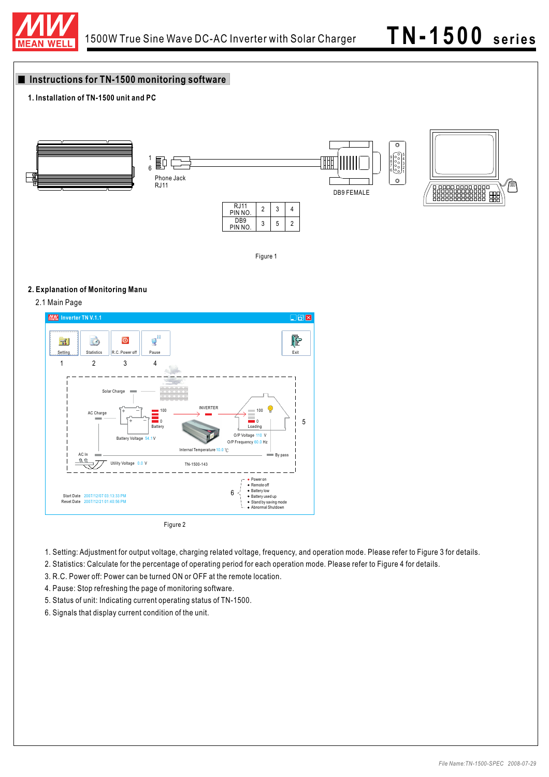

# **Instructions for TN-1500 monitoring software**

# **1. Installation of TN-1500 unit and PC**



Figure 1

## **2. Explanation of Monitoring Manu**



- 1. Setting: Adjustment for output voltage, charging related voltage, frequency, and operation mode. Please refer to Figure 3 for details.
- 2. Statistics: Calculate for the percentage of operating period for each operation mode. Please refer to Figure 4 for details.
- 3. R.C. Power off: Power can be turned ON or OFF at the remote location.
- 4. Pause: Stop refreshing the page of monitoring software.
- 5. Status of unit: Indicating current operating status of TN-1500.
- 6. Signals that display current condition of the unit.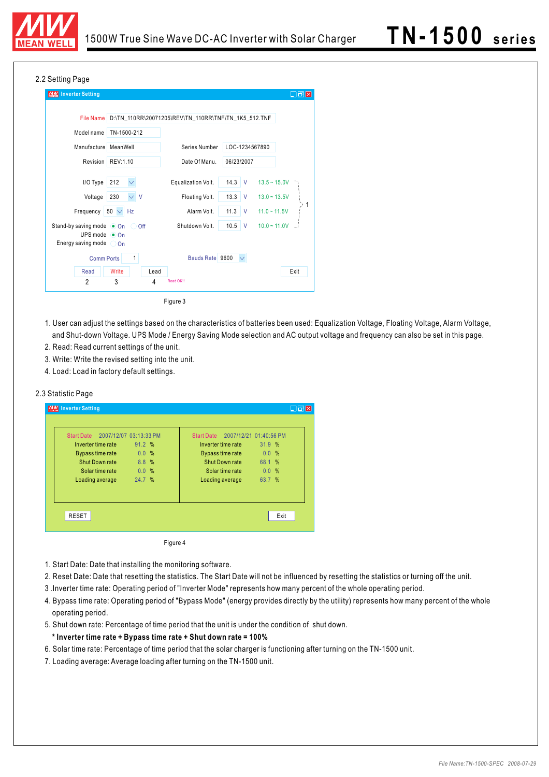

### 2.2 Setting Page

| <b>MW</b> Inverter Setting                              |                   |                                                      |                                        | $\Box$<br>$\Box$ |
|---------------------------------------------------------|-------------------|------------------------------------------------------|----------------------------------------|------------------|
|                                                         |                   |                                                      |                                        |                  |
| <b>File Name</b>                                        |                   | D:\TN_110RR\20071205\REV\TN_110RR\TNF\TN_1K5_512.TNF |                                        |                  |
| Model name                                              | TN-1500-212       |                                                      |                                        |                  |
| Manufacture MeanWell                                    |                   | Series Number                                        | LOC-1234567890                         |                  |
|                                                         | Revision REV:1.10 | Date Of Manu.                                        | 06/23/2007                             |                  |
| I/O Type                                                | 212               | Equalization Volt.                                   | $14.3$ V<br>$13.5 - 15.0V$             |                  |
| Voltage                                                 | $\vee$ V<br>230   | Floating Volt.                                       | 13.3<br>$\mathsf{V}$                   | $13.0 - 13.5V$   |
| <b>Frequency</b>                                        | $50 \vee$ Hz      | Alarm Volt.                                          | 11.3<br>$11.0 - 11.5V$<br>$\mathsf{V}$ |                  |
| Stand-by saving mode $\bullet$ On                       | O Off             | Shutdown Volt.                                       | 10.5<br>$\mathsf{V}$                   | $10.0 - 11.0V$   |
| UPS mode $\odot$ On<br>Energy saving mode $\bigcirc$ On |                   |                                                      |                                        |                  |
| <b>Comm Ports</b>                                       | $\mathbf{1}$      | Bauds Rate 9600                                      |                                        |                  |
| Read                                                    | Write<br>Lead     |                                                      |                                        | Exit             |
| $\overline{2}$                                          | 3<br>4            | Read OK!!                                            |                                        |                  |
|                                                         |                   | Figure 3                                             |                                        |                  |

- 1. User can adjust the settings based on the characteristics of batteries been used: Equalization Voltage, Floating Voltage, Alarm Voltage, and Shut-down Voltage. UPS Mode / Energy Saving Mode selection and AC output voltage and frequency can also be set in this page.
- 2. Read: Read current settings of the unit.
- 3. Write: Write the revised setting into the unit.
- 4. Load: Load in factory default settings.

#### 2.3 Statistic Page

| Start Date 2007/12/07 03:13:33 PM      |                | <b>Start Date</b>                      | 2007/12/21 01:40:56 PM |      |
|----------------------------------------|----------------|----------------------------------------|------------------------|------|
| Inverter time rate<br>Bypass time rate | 91.2 %<br>0.0% | Inverter time rate<br>Bypass time rate | 31.9%<br>0.0%          |      |
| Shut Down rate                         | 8.8%           | Shut Down rate                         | 68.1 %                 |      |
| Solar time rate                        | 0.0%           | Solar time rate                        | 0.0%                   |      |
| Loading average                        | 24.7 %         | Loading average                        | 63.7 %                 |      |
| <b>RESET</b>                           |                |                                        |                        | Exit |

- 1. Start Date: Date that installing the monitoring software.
- 2. Reset Date: Date that resetting the statistics. The Start Date will not be influenced by resetting the statistics or turning off the unit.
- 3 .Inverter time rate: Operating period of "Inverter Mode" represents how many percent of the whole operating period.
- 4. Bypass time rate: Operating period of "Bypass Mode" (energy provides directly by the utility) represents how many percent of the whole operating period.
- 5. Shut down rate: Percentage of time period that the unit is under the condition of shut down.
- **\* Inverter time rate + Bypass time rate + Shut down rate = 100%**
- 6. Solar time rate: Percentage of time period that the solar charger is functioning after turning on the TN-1500 unit.
- 7. Loading average: Average loading after turning on the TN-1500 unit.